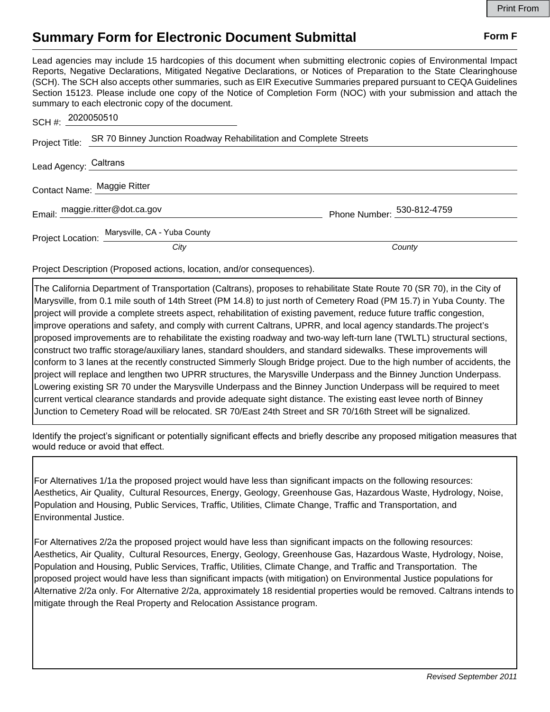## **Summary Form for Electronic Document Submittal Form F Form F**

Lead agencies may include 15 hardcopies of this document when submitting electronic copies of Environmental Impact Reports, Negative Declarations, Mitigated Negative Declarations, or Notices of Preparation to the State Clearinghouse (SCH). The SCH also accepts other summaries, such as EIR Executive Summaries prepared pursuant to CEQA Guidelines Section 15123. Please include one copy of the Notice of Completion Form (NOC) with your submission and attach the summary to each electronic copy of the document.

| SCH #: 2020050510     |                                                                   |                            |
|-----------------------|-------------------------------------------------------------------|----------------------------|
| Project Title:        | SR 70 Binney Junction Roadway Rehabilitation and Complete Streets |                            |
| Lead Agency: Caltrans |                                                                   |                            |
|                       | Contact Name: Maggie Ritter                                       |                            |
|                       | Email: maggie.ritter@dot.ca.gov                                   | Phone Number: 530-812-4759 |
|                       | Project Location: Marysville, CA - Yuba County                    |                            |
|                       | City                                                              | County                     |

Project Description (Proposed actions, location, and/or consequences).

The California Department of Transportation (Caltrans), proposes to rehabilitate State Route 70 (SR 70), in the City of Marysville, from 0.1 mile south of 14th Street (PM 14.8) to just north of Cemetery Road (PM 15.7) in Yuba County. The project will provide a complete streets aspect, rehabilitation of existing pavement, reduce future traffic congestion, improve operations and safety, and comply with current Caltrans, UPRR, and local agency standards.The project's proposed improvements are to rehabilitate the existing roadway and two-way left-turn lane (TWLTL) structural sections, construct two traffic storage/auxiliary lanes, standard shoulders, and standard sidewalks. These improvements will conform to 3 lanes at the recently constructed Simmerly Slough Bridge project. Due to the high number of accidents, the project will replace and lengthen two UPRR structures, the Marysville Underpass and the Binney Junction Underpass. Lowering existing SR 70 under the Marysville Underpass and the Binney Junction Underpass will be required to meet current vertical clearance standards and provide adequate sight distance. The existing east levee north of Binney Junction to Cemetery Road will be relocated. SR 70/East 24th Street and SR 70/16th Street will be signalized.

Identify the project's significant or potentially significant effects and briefly describe any proposed mitigation measures that would reduce or avoid that effect.

For Alternatives 1/1a the proposed project would have less than significant impacts on the following resources: Aesthetics, Air Quality, Cultural Resources, Energy, Geology, Greenhouse Gas, Hazardous Waste, Hydrology, Noise, Population and Housing, Public Services, Traffic, Utilities, Climate Change, Traffic and Transportation, and Environmental Justice.

For Alternatives 2/2a the proposed project would have less than significant impacts on the following resources: Aesthetics, Air Quality, Cultural Resources, Energy, Geology, Greenhouse Gas, Hazardous Waste, Hydrology, Noise, Population and Housing, Public Services, Traffic, Utilities, Climate Change, and Traffic and Transportation. The proposed project would have less than significant impacts (with mitigation) on Environmental Justice populations for Alternative 2/2a only. For Alternative 2/2a, approximately 18 residential properties would be removed. Caltrans intends to mitigate through the Real Property and Relocation Assistance program.